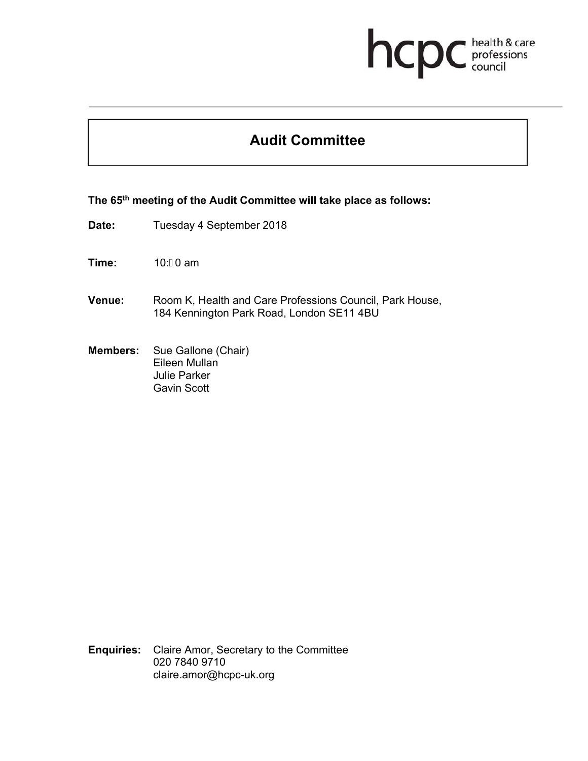## health & care<br>professions<br>council hcp

## **Audit Committee**

**The 65th meeting of the Audit Committee will take place as follows:** 

**Date:** Tuesday 4 September 2018

**Time:** 10: **€**0 am

- **Venue:** Room K, Health and Care Professions Council, Park House, 184 Kennington Park Road, London SE11 4BU
- **Members:** Sue Gallone (Chair) Eileen Mullan Julie Parker Gavin Scott

**Enquiries:** Claire Amor, Secretary to the Committee 020 7840 9710 claire.amor@hcpc-uk.org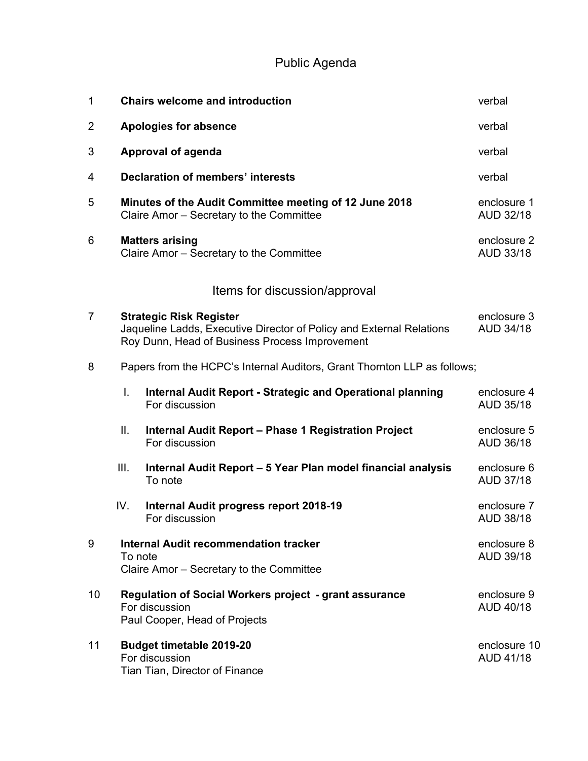Public Agenda

| $\mathbf 1$    |                                                                                                                                                          | <b>Chairs welcome and introduction</b>                                              | verbal                           |
|----------------|----------------------------------------------------------------------------------------------------------------------------------------------------------|-------------------------------------------------------------------------------------|----------------------------------|
| $\overline{2}$ |                                                                                                                                                          | <b>Apologies for absence</b>                                                        | verbal                           |
| 3              |                                                                                                                                                          | <b>Approval of agenda</b>                                                           | verbal                           |
| 4              |                                                                                                                                                          | <b>Declaration of members' interests</b>                                            | verbal                           |
| 5              | Minutes of the Audit Committee meeting of 12 June 2018<br>Claire Amor - Secretary to the Committee                                                       |                                                                                     | enclosure 1<br>AUD 32/18         |
| 6              | <b>Matters arising</b><br>Claire Amor - Secretary to the Committee                                                                                       | enclosure 2<br>AUD 33/18                                                            |                                  |
|                |                                                                                                                                                          | Items for discussion/approval                                                       |                                  |
| $\overline{7}$ | <b>Strategic Risk Register</b><br>Jaqueline Ladds, Executive Director of Policy and External Relations<br>Roy Dunn, Head of Business Process Improvement |                                                                                     | enclosure 3<br><b>AUD 34/18</b>  |
| 8              | Papers from the HCPC's Internal Auditors, Grant Thornton LLP as follows;                                                                                 |                                                                                     |                                  |
|                | I.                                                                                                                                                       | <b>Internal Audit Report - Strategic and Operational planning</b><br>For discussion | enclosure 4<br>AUD 35/18         |
|                | Ⅱ.                                                                                                                                                       | <b>Internal Audit Report - Phase 1 Registration Project</b><br>For discussion       | enclosure 5<br>AUD 36/18         |
|                | Ш.                                                                                                                                                       | Internal Audit Report - 5 Year Plan model financial analysis<br>To note             | enclosure 6<br>AUD 37/18         |
|                | IV.                                                                                                                                                      | Internal Audit progress report 2018-19<br>For discussion                            | enclosure 7<br>AUD 38/18         |
| 9              | <b>Internal Audit recommendation tracker</b><br>To note<br>Claire Amor - Secretary to the Committee                                                      |                                                                                     | enclosure 8<br>AUD 39/18         |
| 10             | <b>Regulation of Social Workers project - grant assurance</b><br>For discussion<br>Paul Cooper, Head of Projects                                         |                                                                                     | enclosure 9<br>AUD 40/18         |
| 11             | <b>Budget timetable 2019-20</b><br>For discussion<br>Tian Tian, Director of Finance                                                                      |                                                                                     | enclosure 10<br><b>AUD 41/18</b> |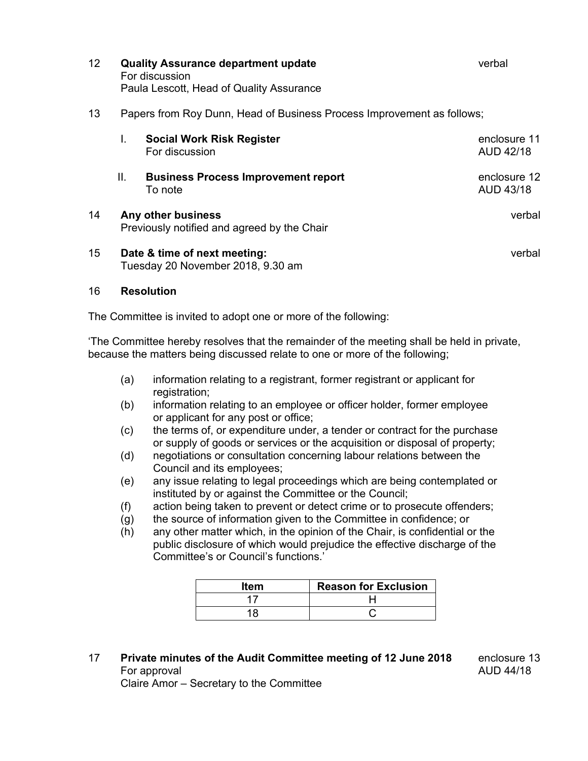| 12 <sup>2</sup> |                                                                   | <b>Quality Assurance department update</b><br>For discussion<br>Paula Lescott, Head of Quality Assurance | verbal                           |  |
|-----------------|-------------------------------------------------------------------|----------------------------------------------------------------------------------------------------------|----------------------------------|--|
| 13              |                                                                   | Papers from Roy Dunn, Head of Business Process Improvement as follows;                                   |                                  |  |
|                 | I.                                                                | <b>Social Work Risk Register</b><br>For discussion                                                       | enclosure 11<br><b>AUD 42/18</b> |  |
|                 | Ш.                                                                | <b>Business Process Improvement report</b><br>To note                                                    | enclosure 12<br>AUD 43/18        |  |
| 14              | Any other business<br>Previously notified and agreed by the Chair |                                                                                                          | verbal                           |  |
| 15              | Date & time of next meeting:<br>Tuesday 20 November 2018, 9.30 am |                                                                                                          | verbal                           |  |

## 16 **Resolution**

The Committee is invited to adopt one or more of the following:

'The Committee hereby resolves that the remainder of the meeting shall be held in private, because the matters being discussed relate to one or more of the following;

- (a) information relating to a registrant, former registrant or applicant for registration;
- (b) information relating to an employee or officer holder, former employee or applicant for any post or office;
- (c) the terms of, or expenditure under, a tender or contract for the purchase or supply of goods or services or the acquisition or disposal of property;
- (d) negotiations or consultation concerning labour relations between the Council and its employees;
- (e) any issue relating to legal proceedings which are being contemplated or instituted by or against the Committee or the Council;
- (f) action being taken to prevent or detect crime or to prosecute offenders;
- (g) the source of information given to the Committee in confidence; or
- (h) any other matter which, in the opinion of the Chair, is confidential or the public disclosure of which would prejudice the effective discharge of the Committee's or Council's functions.'

| ltem | <b>Reason for Exclusion</b> |
|------|-----------------------------|
|      |                             |
|      |                             |

17 **Private minutes of the Audit Committee meeting of 12 June 2018** enclosure 13 For approval and the set of the set of the set of the set of the AUD 44/18

Claire Amor – Secretary to the Committee